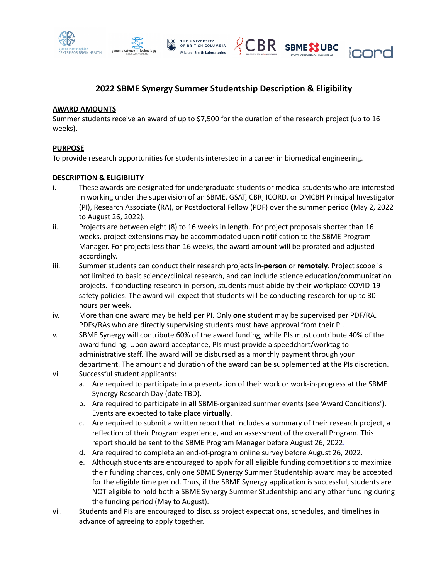





# **2022 SBME Synergy Summer Studentship Description & Eligibility**

### **AWARD AMOUNTS**

Summer students receive an award of up to \$7,500 for the duration of the research project (up to 16 weeks).

## **PURPOSE**

To provide research opportunities for students interested in a career in biomedical engineering.

## **DESCRIPTION & ELIGIBILITY**

- i. These awards are designated for undergraduate students or medical students who are interested in working under the supervision of an SBME, GSAT, CBR, ICORD, or DMCBH Principal Investigator (PI), Research Associate (RA), or Postdoctoral Fellow (PDF) over the summer period (May 2, 2022 to August 26, 2022).
- ii. Projects are between eight (8) to 16 weeks in length. For project proposals shorter than 16 weeks, project extensions may be accommodated upon notification to the SBME Program Manager. For projects less than 16 weeks, the award amount will be prorated and adjusted accordingly.
- iii. Summer students can conduct their research projects **in-person** or **remotely**. Project scope is not limited to basic science/clinical research, and can include science education/communication projects. If conducting research in-person, students must abide by their workplace COVID-19 safety policies. The award will expect that students will be conducting research for up to 30 hours per week.
- iv. More than one award may be held per PI. Only **one** student may be supervised per PDF/RA. PDFs/RAs who are directly supervising students must have approval from their PI.
- v. SBME Synergy will contribute 60% of the award funding, while PIs must contribute 40% of the award funding. Upon award acceptance, PIs must provide a speedchart/worktag to administrative staff. The award will be disbursed as a monthly payment through your department. The amount and duration of the award can be supplemented at the PIs discretion.
- vi. Successful student applicants:
	- a. Are required to participate in a presentation of their work or work-in-progress at the SBME Synergy Research Day (date TBD).
	- b. Are required to participate in **all** SBME-organized summer events (see 'Award Conditions'). Events are expected to take place **virtually**.
	- c. Are required to submit a written report that includes a summary of their research project, a reflection of their Program experience, and an assessment of the overall Program. This report should be sent to the SBME Program Manager before August 26, 2022.
	- d. Are required to complete an end-of-program online survey before August 26, 2022.
	- e. Although students are encouraged to apply for all eligible funding competitions to maximize their funding chances, only one SBME Synergy Summer Studentship award may be accepted for the eligible time period. Thus, if the SBME Synergy application is successful, students are NOT eligible to hold both a SBME Synergy Summer Studentship and any other funding during the funding period (May to August).
- vii. Students and PIs are encouraged to discuss project expectations, schedules, and timelines in advance of agreeing to apply together.